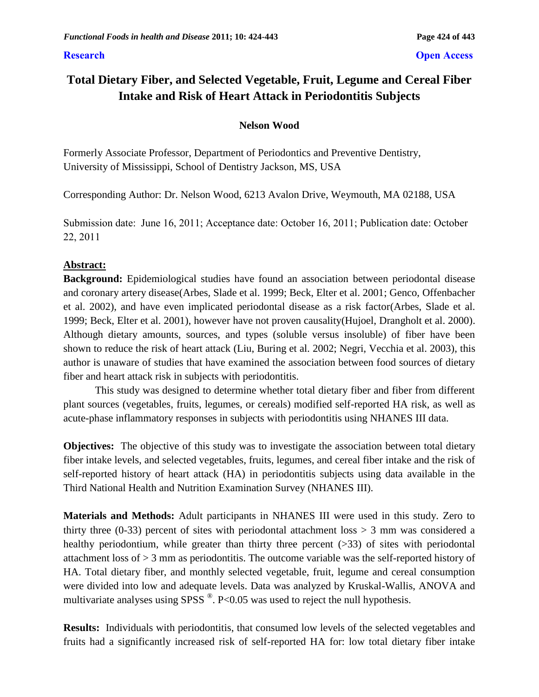# **Total Dietary Fiber, and Selected Vegetable, Fruit, Legume and Cereal Fiber Intake and Risk of Heart Attack in Periodontitis Subjects**

# **Nelson Wood**

Formerly Associate Professor, Department of Periodontics and Preventive Dentistry, University of Mississippi, School of Dentistry Jackson, MS, USA

Corresponding Author: Dr. Nelson Wood, 6213 Avalon Drive, Weymouth, MA 02188, USA

Submission date: June 16, 2011; Acceptance date: October 16, 2011; Publication date: October 22, 2011

# **Abstract:**

**Background:** Epidemiological studies have found an association between periodontal disease and coronary artery disease(Arbes, Slade et al. 1999; Beck, Elter et al. 2001; Genco, Offenbacher et al. 2002), and have even implicated periodontal disease as a risk factor(Arbes, Slade et al. 1999; Beck, Elter et al. 2001), however have not proven causality(Hujoel, Drangholt et al. 2000). Although dietary amounts, sources, and types (soluble versus insoluble) of fiber have been shown to reduce the risk of heart attack (Liu, Buring et al. 2002; Negri, Vecchia et al. 2003), this author is unaware of studies that have examined the association between food sources of dietary fiber and heart attack risk in subjects with periodontitis.

This study was designed to determine whether total dietary fiber and fiber from different plant sources (vegetables, fruits, legumes, or cereals) modified self-reported HA risk, as well as acute-phase inflammatory responses in subjects with periodontitis using NHANES III data.

**Objectives:** The objective of this study was to investigate the association between total dietary fiber intake levels, and selected vegetables, fruits, legumes, and cereal fiber intake and the risk of self-reported history of heart attack (HA) in periodontitis subjects using data available in the Third National Health and Nutrition Examination Survey (NHANES III).

**Materials and Methods:** Adult participants in NHANES III were used in this study. Zero to thirty three (0-33) percent of sites with periodontal attachment  $loss > 3$  mm was considered a healthy periodontium, while greater than thirty three percent (>33) of sites with periodontal attachment loss of > 3 mm as periodontitis. The outcome variable was the self-reported history of HA. Total dietary fiber, and monthly selected vegetable, fruit, legume and cereal consumption were divided into low and adequate levels. Data was analyzed by Kruskal-Wallis, ANOVA and multivariate analyses using SPSS  $^{\circledR}$ . P<0.05 was used to reject the null hypothesis.

**Results:** Individuals with periodontitis, that consumed low levels of the selected vegetables and fruits had a significantly increased risk of self-reported HA for: low total dietary fiber intake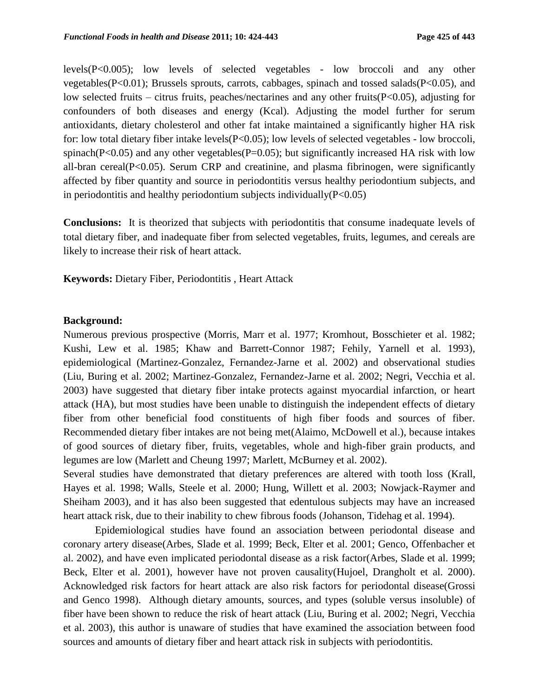levels(P<0.005); low levels of selected vegetables - low broccoli and any other vegetables(P<0.01); Brussels sprouts, carrots, cabbages, spinach and tossed salads(P<0.05), and low selected fruits – citrus fruits, peaches/nectarines and any other fruits(P<0.05), adjusting for confounders of both diseases and energy (Kcal). Adjusting the model further for serum antioxidants, dietary cholesterol and other fat intake maintained a significantly higher HA risk for: low total dietary fiber intake levels(P<0.05); low levels of selected vegetables - low broccoli, spinach( $P<0.05$ ) and any other vegetables( $P=0.05$ ); but significantly increased HA risk with low all-bran cereal( $P<0.05$ ). Serum CRP and creatinine, and plasma fibrinogen, were significantly affected by fiber quantity and source in periodontitis versus healthy periodontium subjects, and in periodontitis and healthy periodontium subjects individually  $(P<0.05)$ 

**Conclusions:** It is theorized that subjects with periodontitis that consume inadequate levels of total dietary fiber, and inadequate fiber from selected vegetables, fruits, legumes, and cereals are likely to increase their risk of heart attack.

**Keywords:** Dietary Fiber, Periodontitis, Heart Attack

#### **Background:**

Numerous previous prospective (Morris, Marr et al. 1977; Kromhout, Bosschieter et al. 1982; Kushi, Lew et al. 1985; Khaw and Barrett-Connor 1987; Fehily, Yarnell et al. 1993), epidemiological (Martinez-Gonzalez, Fernandez-Jarne et al. 2002) and observational studies (Liu, Buring et al. 2002; Martinez-Gonzalez, Fernandez-Jarne et al. 2002; Negri, Vecchia et al. 2003) have suggested that dietary fiber intake protects against myocardial infarction, or heart attack (HA), but most studies have been unable to distinguish the independent effects of dietary fiber from other beneficial food constituents of high fiber foods and sources of fiber. Recommended dietary fiber intakes are not being met(Alaimo, McDowell et al.), because intakes of good sources of dietary fiber, fruits, vegetables, whole and high-fiber grain products, and legumes are low (Marlett and Cheung 1997; Marlett, McBurney et al. 2002).

Several studies have demonstrated that dietary preferences are altered with tooth loss (Krall, Hayes et al. 1998; Walls, Steele et al. 2000; Hung, Willett et al. 2003; Nowjack-Raymer and Sheiham 2003), and it has also been suggested that edentulous subjects may have an increased heart attack risk, due to their inability to chew fibrous foods (Johanson, Tidehag et al. 1994).

Epidemiological studies have found an association between periodontal disease and coronary artery disease(Arbes, Slade et al. 1999; Beck, Elter et al. 2001; Genco, Offenbacher et al. 2002), and have even implicated periodontal disease as a risk factor(Arbes, Slade et al. 1999; Beck, Elter et al. 2001), however have not proven causality(Hujoel, Drangholt et al. 2000). Acknowledged risk factors for heart attack are also risk factors for periodontal disease(Grossi and Genco 1998). Although dietary amounts, sources, and types (soluble versus insoluble) of fiber have been shown to reduce the risk of heart attack (Liu, Buring et al. 2002; Negri, Vecchia et al. 2003), this author is unaware of studies that have examined the association between food sources and amounts of dietary fiber and heart attack risk in subjects with periodontitis.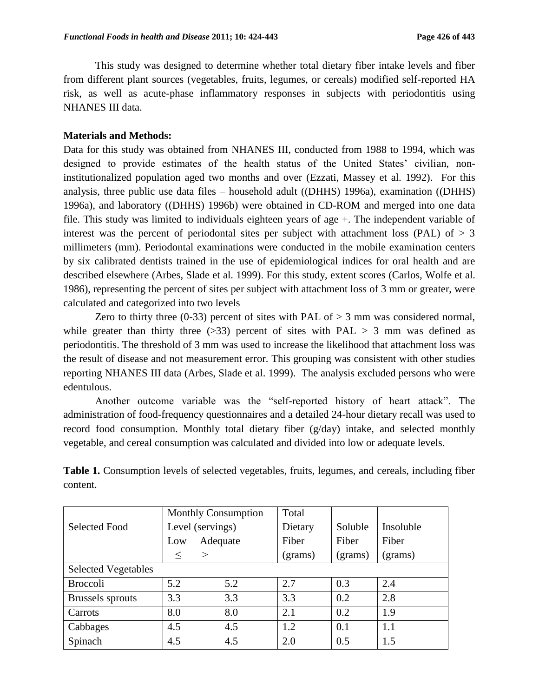This study was designed to determine whether total dietary fiber intake levels and fiber from different plant sources (vegetables, fruits, legumes, or cereals) modified self-reported HA risk, as well as acute-phase inflammatory responses in subjects with periodontitis using NHANES III data.

#### **Materials and Methods:**

Data for this study was obtained from NHANES III, conducted from 1988 to 1994, which was designed to provide estimates of the health status of the United States' civilian, noninstitutionalized population aged two months and over (Ezzati, Massey et al. 1992). For this analysis, three public use data files – household adult ((DHHS) 1996a), examination ((DHHS) 1996a), and laboratory ((DHHS) 1996b) were obtained in CD-ROM and merged into one data file. This study was limited to individuals eighteen years of age +. The independent variable of interest was the percent of periodontal sites per subject with attachment loss (PAL) of  $> 3$ millimeters (mm). Periodontal examinations were conducted in the mobile examination centers by six calibrated dentists trained in the use of epidemiological indices for oral health and are described elsewhere (Arbes, Slade et al. 1999). For this study, extent scores (Carlos, Wolfe et al. 1986), representing the percent of sites per subject with attachment loss of 3 mm or greater, were calculated and categorized into two levels

Zero to thirty three (0-33) percent of sites with PAL of  $> 3$  mm was considered normal, while greater than thirty three  $(>=33)$  percent of sites with PAL  $> 3$  mm was defined as periodontitis. The threshold of 3 mm was used to increase the likelihood that attachment loss was the result of disease and not measurement error. This grouping was consistent with other studies reporting NHANES III data (Arbes, Slade et al. 1999). The analysis excluded persons who were edentulous.

Another outcome variable was the "self-reported history of heart attack". The administration of food-frequency questionnaires and a detailed 24-hour dietary recall was used to record food consumption. Monthly total dietary fiber (g/day) intake, and selected monthly vegetable, and cereal consumption was calculated and divided into low or adequate levels.

|                            | <b>Monthly Consumption</b> |          | Total   |         |           |
|----------------------------|----------------------------|----------|---------|---------|-----------|
| <b>Selected Food</b>       | Level (servings)           |          | Dietary | Soluble | Insoluble |
|                            | Low                        | Adequate | Fiber   | Fiber   | Fiber     |
|                            | $\geq$<br>$\leq$           |          | (grams) | (grams) | (grams)   |
| <b>Selected Vegetables</b> |                            |          |         |         |           |
| <b>Broccoli</b>            | 5.2                        | 5.2      | 2.7     | 0.3     | 2.4       |
| <b>Brussels</b> sprouts    | 3.3                        | 3.3      | 3.3     | 0.2     | 2.8       |
| Carrots                    | 8.0                        | 8.0      | 2.1     | 0.2     | 1.9       |
| Cabbages                   | 4.5                        | 4.5      | 1.2     | 0.1     | 1.1       |
| Spinach                    | 4.5                        | 4.5      | 2.0     | 0.5     | 1.5       |

**Table 1.** Consumption levels of selected vegetables, fruits, legumes, and cereals, including fiber content.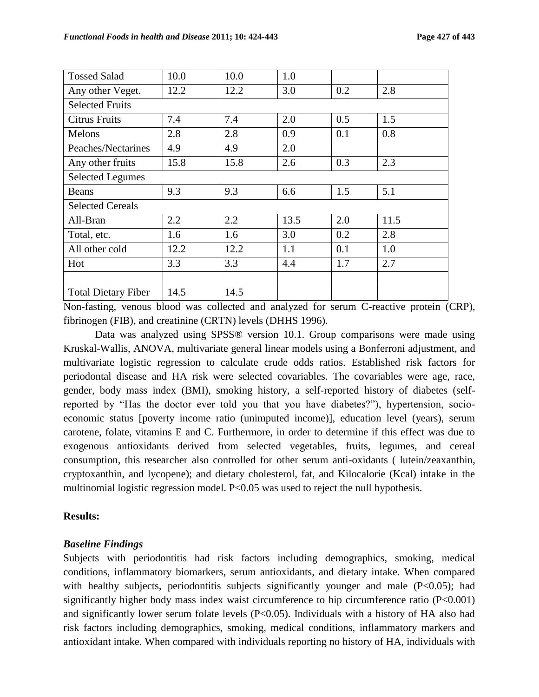| <b>Tossed Salad</b>        | 10.0 | 10.0 | 1.0  |     |      |  |
|----------------------------|------|------|------|-----|------|--|
| Any other Veget.           | 12.2 | 12.2 | 3.0  | 0.2 | 2.8  |  |
| <b>Selected Fruits</b>     |      |      |      |     |      |  |
| <b>Citrus Fruits</b>       | 7.4  | 7.4  | 2.0  | 0.5 | 1.5  |  |
| Melons                     | 2.8  | 2.8  | 0.9  | 0.1 | 0.8  |  |
| Peaches/Nectarines         | 4.9  | 4.9  | 2.0  |     |      |  |
| Any other fruits           | 15.8 | 15.8 | 2.6  | 0.3 | 2.3  |  |
| <b>Selected Legumes</b>    |      |      |      |     |      |  |
| <b>Beans</b>               | 9.3  | 9.3  | 6.6  | 1.5 | 5.1  |  |
| <b>Selected Cereals</b>    |      |      |      |     |      |  |
| All-Bran                   | 2.2  | 2.2  | 13.5 | 2.0 | 11.5 |  |
| Total, etc.                | 1.6  | 1.6  | 3.0  | 0.2 | 2.8  |  |
| All other cold             | 12.2 | 12.2 | 1.1  | 0.1 | 1.0  |  |
| Hot                        | 3.3  | 3.3  | 4.4  | 1.7 | 2.7  |  |
|                            |      |      |      |     |      |  |
| <b>Total Dietary Fiber</b> | 14.5 | 14.5 |      |     |      |  |

Non-fasting, venous blood was collected and analyzed for serum C-reactive protein (CRP), fibrinogen (FIB), and creatinine (CRTN) levels (DHHS 1996).

Data was analyzed using SPSS® version 10.1. Group comparisons were made using Kruskal-Wallis, ANOVA, multivariate general linear models using a Bonferroni adjustment, and multivariate logistic regression to calculate crude odds ratios. Established risk factors for periodontal disease and HA risk were selected covariables. The covariables were age, race, gender, body mass index (BMI), smoking history, a self-reported history of diabetes (selfreported by "Has the doctor ever told you that you have diabetes?"), hypertension, socioeconomic status [poverty income ratio (unimputed income)], education level (years), serum carotene, folate, vitamins E and C. Furthermore, in order to determine if this effect was due to exogenous antioxidants derived from selected vegetables, fruits, legumes, and cereal consumption, this researcher also controlled for other serum anti-oxidants ( lutein/zeaxanthin, cryptoxanthin, and lycopene); and dietary cholesterol, fat, and Kilocalorie (Kcal) intake in the multinomial logistic regression model. P<0.05 was used to reject the null hypothesis.

# **Results:**

# *Baseline Findings*

Subjects with periodontitis had risk factors including demographics, smoking, medical conditions, inflammatory biomarkers, serum antioxidants, and dietary intake. When compared with healthy subjects, periodontitis subjects significantly younger and male (P<0.05); had significantly higher body mass index waist circumference to hip circumference ratio (P<0.001) and significantly lower serum folate levels (P<0.05). Individuals with a history of HA also had risk factors including demographics, smoking, medical conditions, inflammatory markers and antioxidant intake. When compared with individuals reporting no history of HA, individuals with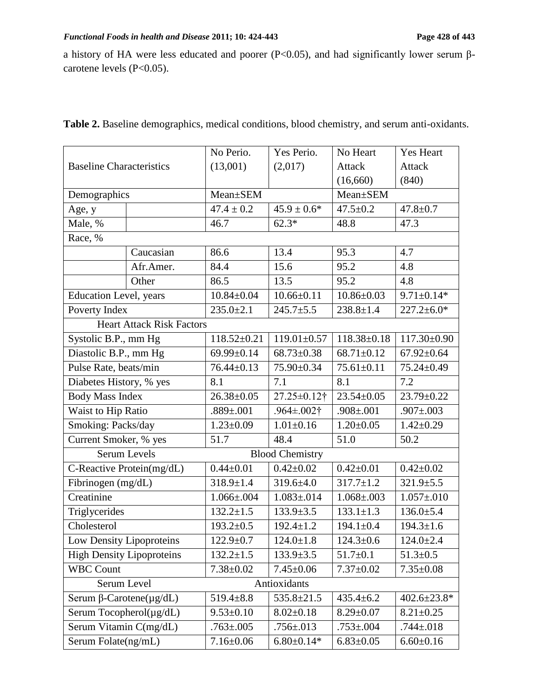a history of HA were less educated and poorer (P<0.05), and had significantly lower serum βcarotene levels (P<0.05).

| (13,001)<br>(2,017)<br><b>Attack</b><br><b>Attack</b><br><b>Baseline Characteristics</b><br>(16,660)<br>(840)<br>Mean±SEM<br>Demographics<br>Mean±SEM<br>$47.4 \pm 0.2$<br>$45.9 \pm 0.6*$<br>$47.5 \pm 0.2$<br>$47.8 \pm 0.7$<br>Age, y<br>Male, %<br>$62.3*$<br>46.7<br>47.3<br>48.8<br>Race, %<br>Caucasian<br>86.6<br>13.4<br>95.3<br>4.7<br>84.4<br>15.6<br>95.2<br>Afr.Amer.<br>4.8<br>13.5<br>4.8<br>Other<br>86.5<br>95.2<br><b>Education Level</b> , years<br>$10.84 \pm 0.04$<br>$10.66 \pm 0.11$<br>$10.86 \pm 0.03$<br>$9.71 \pm 0.14*$<br>$245.7 \pm 5.5$<br>Poverty Index<br>$235.0 \pm 2.1$<br>$238.8 \pm 1.4$<br>$227.2 \pm 6.0*$<br><b>Heart Attack Risk Factors</b><br>Systolic B.P., mm Hg<br>$118.52 \pm 0.21$<br>$119.01 \pm 0.57$<br>$118.38 \pm 0.18$<br>117.30±0.90<br>Diastolic B.P., mm Hg<br>$68.73 \pm 0.38$<br>$68.71 \pm 0.12$<br>69.99±0.14<br>$67.92 \pm 0.64$ |                       |  | No Perio.        | Yes Perio. | No Heart         | <b>Yes Heart</b> |
|------------------------------------------------------------------------------------------------------------------------------------------------------------------------------------------------------------------------------------------------------------------------------------------------------------------------------------------------------------------------------------------------------------------------------------------------------------------------------------------------------------------------------------------------------------------------------------------------------------------------------------------------------------------------------------------------------------------------------------------------------------------------------------------------------------------------------------------------------------------------------------------------|-----------------------|--|------------------|------------|------------------|------------------|
|                                                                                                                                                                                                                                                                                                                                                                                                                                                                                                                                                                                                                                                                                                                                                                                                                                                                                                |                       |  |                  |            |                  |                  |
|                                                                                                                                                                                                                                                                                                                                                                                                                                                                                                                                                                                                                                                                                                                                                                                                                                                                                                |                       |  |                  |            |                  |                  |
|                                                                                                                                                                                                                                                                                                                                                                                                                                                                                                                                                                                                                                                                                                                                                                                                                                                                                                |                       |  |                  |            |                  |                  |
|                                                                                                                                                                                                                                                                                                                                                                                                                                                                                                                                                                                                                                                                                                                                                                                                                                                                                                |                       |  |                  |            |                  |                  |
|                                                                                                                                                                                                                                                                                                                                                                                                                                                                                                                                                                                                                                                                                                                                                                                                                                                                                                |                       |  |                  |            |                  |                  |
|                                                                                                                                                                                                                                                                                                                                                                                                                                                                                                                                                                                                                                                                                                                                                                                                                                                                                                |                       |  |                  |            |                  |                  |
|                                                                                                                                                                                                                                                                                                                                                                                                                                                                                                                                                                                                                                                                                                                                                                                                                                                                                                |                       |  |                  |            |                  |                  |
|                                                                                                                                                                                                                                                                                                                                                                                                                                                                                                                                                                                                                                                                                                                                                                                                                                                                                                |                       |  |                  |            |                  |                  |
|                                                                                                                                                                                                                                                                                                                                                                                                                                                                                                                                                                                                                                                                                                                                                                                                                                                                                                |                       |  |                  |            |                  |                  |
|                                                                                                                                                                                                                                                                                                                                                                                                                                                                                                                                                                                                                                                                                                                                                                                                                                                                                                |                       |  |                  |            |                  |                  |
|                                                                                                                                                                                                                                                                                                                                                                                                                                                                                                                                                                                                                                                                                                                                                                                                                                                                                                |                       |  |                  |            |                  |                  |
|                                                                                                                                                                                                                                                                                                                                                                                                                                                                                                                                                                                                                                                                                                                                                                                                                                                                                                |                       |  |                  |            |                  |                  |
|                                                                                                                                                                                                                                                                                                                                                                                                                                                                                                                                                                                                                                                                                                                                                                                                                                                                                                |                       |  |                  |            |                  |                  |
|                                                                                                                                                                                                                                                                                                                                                                                                                                                                                                                                                                                                                                                                                                                                                                                                                                                                                                |                       |  |                  |            |                  |                  |
|                                                                                                                                                                                                                                                                                                                                                                                                                                                                                                                                                                                                                                                                                                                                                                                                                                                                                                | Pulse Rate, beats/min |  | $76.44 \pm 0.13$ | 75.90±0.34 | $75.61 \pm 0.11$ | 75.24±0.49       |
| Diabetes History, % yes<br>7.2<br>7.1<br>8.1<br>8.1                                                                                                                                                                                                                                                                                                                                                                                                                                                                                                                                                                                                                                                                                                                                                                                                                                            |                       |  |                  |            |                  |                  |
| <b>Body Mass Index</b><br>23.79±0.22<br>$26.38 \pm 0.05$<br>27.25±0.12†<br>$23.54 \pm 0.05$                                                                                                                                                                                                                                                                                                                                                                                                                                                                                                                                                                                                                                                                                                                                                                                                    |                       |  |                  |            |                  |                  |
| Waist to Hip Ratio<br>$.889 \pm .001$<br>$.964 \pm .002$ †<br>$.908 \pm .001$<br>$.907 \pm .003$                                                                                                                                                                                                                                                                                                                                                                                                                                                                                                                                                                                                                                                                                                                                                                                               |                       |  |                  |            |                  |                  |
| Smoking: Packs/day<br>$1.01 \pm 0.16$<br>$1.23 \pm 0.09$<br>$1.20 \pm 0.05$<br>$1.42 \pm 0.29$                                                                                                                                                                                                                                                                                                                                                                                                                                                                                                                                                                                                                                                                                                                                                                                                 |                       |  |                  |            |                  |                  |
| Current Smoker, % yes<br>51.7<br>48.4<br>51.0<br>50.2                                                                                                                                                                                                                                                                                                                                                                                                                                                                                                                                                                                                                                                                                                                                                                                                                                          |                       |  |                  |            |                  |                  |
| <b>Serum Levels</b><br><b>Blood Chemistry</b>                                                                                                                                                                                                                                                                                                                                                                                                                                                                                                                                                                                                                                                                                                                                                                                                                                                  |                       |  |                  |            |                  |                  |
| $0.42 \pm 0.02$<br>$0.42 \pm 0.01$<br>$0.42 \pm 0.02$<br>C-Reactive Protein(mg/dL)<br>$0.44 \pm 0.01$                                                                                                                                                                                                                                                                                                                                                                                                                                                                                                                                                                                                                                                                                                                                                                                          |                       |  |                  |            |                  |                  |
| Fibrinogen (mg/dL)<br>$317.7 \pm 1.2$<br>$318.9 \pm 1.4$<br>$319.6 \pm 4.0$<br>$321.9 \pm 5.5$                                                                                                                                                                                                                                                                                                                                                                                                                                                                                                                                                                                                                                                                                                                                                                                                 |                       |  |                  |            |                  |                  |
| Creatinine<br>$1.066 \pm 0.004$<br>$1.083 \pm 0.014$<br>$1.068 \pm 0.003$<br>$1.057 \pm 010$                                                                                                                                                                                                                                                                                                                                                                                                                                                                                                                                                                                                                                                                                                                                                                                                   |                       |  |                  |            |                  |                  |
| $132.2 \pm 1.5$<br>$133.9 \pm 3.5$<br>$133.1 \pm 1.3$<br>$136.0 \pm 5.4$<br>Triglycerides                                                                                                                                                                                                                                                                                                                                                                                                                                                                                                                                                                                                                                                                                                                                                                                                      |                       |  |                  |            |                  |                  |
| $194.3 \pm 1.6$<br>Cholesterol<br>$193.2 \pm 0.5$<br>$192.4 \pm 1.2$<br>$194.1 \pm 0.4$                                                                                                                                                                                                                                                                                                                                                                                                                                                                                                                                                                                                                                                                                                                                                                                                        |                       |  |                  |            |                  |                  |
| Low Density Lipoproteins<br>$122.9 \pm 0.7$<br>$124.3 \pm 0.6$<br>$124.0 \pm 2.4$<br>$124.0 \pm 1.8$                                                                                                                                                                                                                                                                                                                                                                                                                                                                                                                                                                                                                                                                                                                                                                                           |                       |  |                  |            |                  |                  |
| <b>High Density Lipoproteins</b><br>$51.7 \pm 0.1$<br>$51.3 \pm 0.5$<br>$132.2 \pm 1.5$<br>$133.9 \pm 3.5$                                                                                                                                                                                                                                                                                                                                                                                                                                                                                                                                                                                                                                                                                                                                                                                     |                       |  |                  |            |                  |                  |
| <b>WBC Count</b><br>$7.38 \pm 0.02$<br>$7.37 \pm 0.02$<br>$7.35 \pm 0.08$<br>$7.45 \pm 0.06$                                                                                                                                                                                                                                                                                                                                                                                                                                                                                                                                                                                                                                                                                                                                                                                                   |                       |  |                  |            |                  |                  |
| Serum Level<br>Antioxidants                                                                                                                                                                                                                                                                                                                                                                                                                                                                                                                                                                                                                                                                                                                                                                                                                                                                    |                       |  |                  |            |                  |                  |
| $535.8 \pm 21.5$<br>Serum $\beta$ -Carotene( $\mu$ g/dL)<br>$435.4 \pm 6.2$<br>402.6±23.8*<br>$519.4 \pm 8.8$                                                                                                                                                                                                                                                                                                                                                                                                                                                                                                                                                                                                                                                                                                                                                                                  |                       |  |                  |            |                  |                  |
| Serum Tocopherol $(\mu g/dL)$<br>$8.02 \pm 0.18$<br>$8.29 \pm 0.07$<br>$8.21 \pm 0.25$<br>$9.53 \pm 0.10$                                                                                                                                                                                                                                                                                                                                                                                                                                                                                                                                                                                                                                                                                                                                                                                      |                       |  |                  |            |                  |                  |
| Serum Vitamin C(mg/dL)<br>$.756 \pm 0.013$<br>$.763 \pm 0.005$<br>$.753 \pm 0.004$<br>$.744 \pm .018$                                                                                                                                                                                                                                                                                                                                                                                                                                                                                                                                                                                                                                                                                                                                                                                          |                       |  |                  |            |                  |                  |
| Serum Folate(ng/mL)<br>$7.16 \pm 0.06$<br>$6.80 \pm 0.14*$<br>$6.83 \pm 0.05$<br>$6.60 \pm 0.16$                                                                                                                                                                                                                                                                                                                                                                                                                                                                                                                                                                                                                                                                                                                                                                                               |                       |  |                  |            |                  |                  |

**Table 2.** Baseline demographics, medical conditions, blood chemistry, and serum anti-oxidants.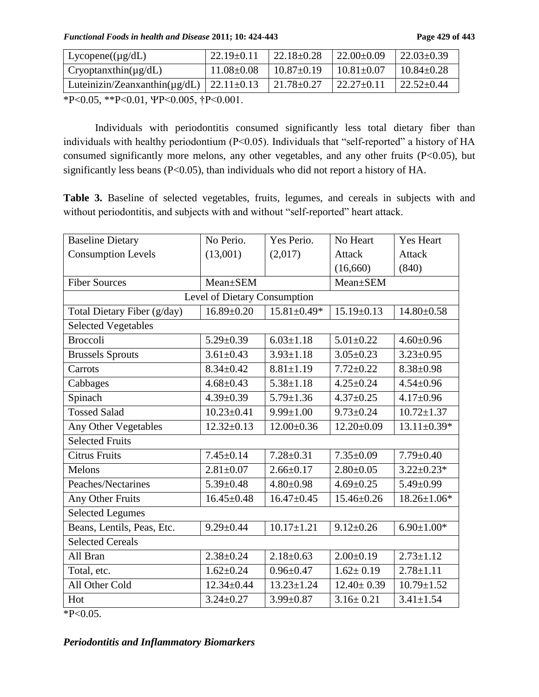*Functional Foods in health and Disease* **2011; 10: 424-443 Page 429 of 443**

| $Lycopene((\mu g/dL))$                                                                                  | $22.19 \pm 0.11$ | $22.18 \pm 0.28$ | $22.00\pm0.09$   | $\frac{22.03 \pm 0.39}{ }$ |
|---------------------------------------------------------------------------------------------------------|------------------|------------------|------------------|----------------------------|
| $Cryoptanxthin(\mu g/dL)$                                                                               | $11.08 \pm 0.08$ | $10.87 \pm 0.19$ | $10.81 \pm 0.07$ | $10.84 \pm 0.28$           |
| Luteinizin/Zeanxanthin( $\mu$ g/dL)   22.11±0.13                                                        |                  | $21.78 \pm 0.27$ | $22.27 \pm 0.11$ | $22.52 \pm 0.44$           |
| $*D \wedge Q$ $\uparrow$ $*D \wedge Q$ $\uparrow$ $1$ $1$ $D \wedge Q$ $Q$ $\uparrow$ $4D \wedge Q$ $Q$ |                  |                  |                  |                            |

 $*P<0.05$ ,  $*P<0.01$ ,  $\Psi P<0.005$ ,  $\dagger P<0.001$ .

Individuals with periodontitis consumed significantly less total dietary fiber than individuals with healthy periodontium (P<0.05). Individuals that "self-reported" a history of HA consumed significantly more melons, any other vegetables, and any other fruits (P<0.05), but significantly less beans (P<0.05), than individuals who did not report a history of HA.

**Table 3.** Baseline of selected vegetables, fruits, legumes, and cereals in subjects with and without periodontitis, and subjects with and without "self-reported" heart attack.

| <b>Baseline Dietary</b>     | No Perio.                    | Yes Perio.        | No Heart         | <b>Yes Heart</b>  |
|-----------------------------|------------------------------|-------------------|------------------|-------------------|
| <b>Consumption Levels</b>   | (13,001)                     | (2,017)           | <b>Attack</b>    | <b>Attack</b>     |
|                             |                              |                   | (16,660)         | (840)             |
| <b>Fiber Sources</b>        | Mean+SEM                     |                   | Mean±SEM         |                   |
|                             | Level of Dietary Consumption |                   |                  |                   |
| Total Dietary Fiber (g/day) | $16.89 \pm 0.20$             | $15.81 \pm 0.49*$ | $15.19 \pm 0.13$ | $14.80 \pm 0.58$  |
| <b>Selected Vegetables</b>  |                              |                   |                  |                   |
| <b>Broccoli</b>             | $5.29 \pm 0.39$              | $6.03 \pm 1.18$   | $5.01 \pm 0.22$  | $4.60 \pm 0.96$   |
| <b>Brussels Sprouts</b>     | $3.61 \pm 0.43$              | $3.93 \pm 1.18$   | $3.05 \pm 0.23$  | $3.23 \pm 0.95$   |
| Carrots                     | $8.34 \pm 0.42$              | $8.81 \pm 1.19$   | $7.72 \pm 0.22$  | $8.38 \pm 0.98$   |
| Cabbages                    | $4.68 \pm 0.43$              | $5.38 \pm 1.18$   | $4.25 \pm 0.24$  | $4.54 \pm 0.96$   |
| Spinach                     | $4.39 \pm 0.39$              | $5.79 \pm 1.36$   | $4.37 \pm 0.25$  | $4.17 \pm 0.96$   |
| <b>Tossed Salad</b>         | $10.23 \pm 0.41$             | $9.99 \pm 1.00$   | $9.73 \pm 0.24$  | $10.72 \pm 1.37$  |
| Any Other Vegetables        | $12.32 \pm 0.13$             | $12.00 \pm 0.36$  | $12.20 \pm 0.09$ | $13.11 \pm 0.39*$ |
| <b>Selected Fruits</b>      |                              |                   |                  |                   |
| <b>Citrus Fruits</b>        | $7.45 \pm 0.14$              | $7.28 \pm 0.31$   | $7.35 \pm 0.09$  | $7.79 \pm 0.40$   |
| Melons                      | $2.81 \pm 0.07$              | $2.66 \pm 0.17$   | $2.80 \pm 0.05$  | $3.22 \pm 0.23*$  |
| Peaches/Nectarines          | $5.39 \pm 0.48$              | $4.80 \pm 0.98$   | $4.69 \pm 0.25$  | $5.49 \pm 0.99$   |
| Any Other Fruits            | $16.45 \pm 0.48$             | $16.47 \pm 0.45$  | $15.46 \pm 0.26$ | 18.26±1.06*       |
| <b>Selected Legumes</b>     |                              |                   |                  |                   |
| Beans, Lentils, Peas, Etc.  | $9.29 \pm 0.44$              | $10.17 \pm 1.21$  | $9.12 \pm 0.26$  | $6.90 \pm 1.00*$  |
| <b>Selected Cereals</b>     |                              |                   |                  |                   |
| All Bran                    | $2.38 \pm 0.24$              | $2.18 \pm 0.63$   | $2.00 \pm 0.19$  | $2.73 \pm 1.12$   |
| Total, etc.                 | $1.62 \pm 0.24$              | $0.96 \pm 0.47$   | $1.62 \pm 0.19$  | $2.78 \pm 1.11$   |
| All Other Cold              | $12.34 \pm 0.44$             | $13.23 \pm 1.24$  | $12.40 \pm 0.39$ | $10.79 \pm 1.52$  |
| Hot                         | $3.24 \pm 0.27$              | $3.99 \pm 0.87$   | $3.16 \pm 0.21$  | $3.41 \pm 1.54$   |

\*P<0.05.

*Periodontitis and Inflammatory Biomarkers*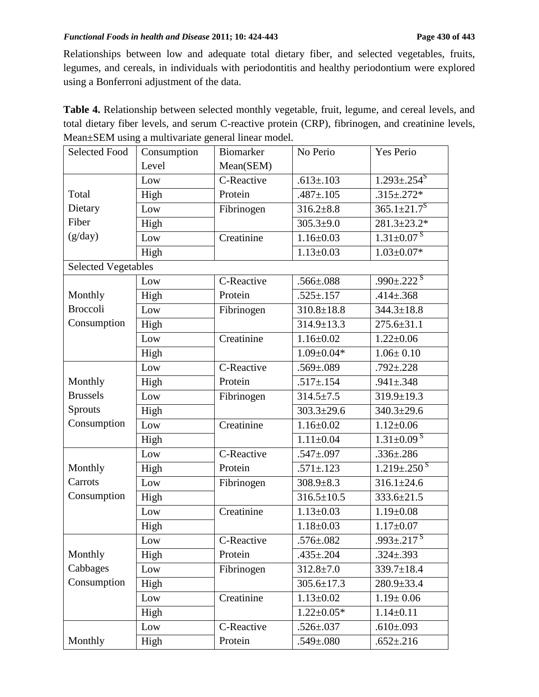Relationships between low and adequate total dietary fiber, and selected vegetables, fruits, legumes, and cereals, in individuals with periodontitis and healthy periodontium were explored using a Bonferroni adjustment of the data.

**Table 4.** Relationship between selected monthly vegetable, fruit, legume, and cereal levels, and total dietary fiber levels, and serum C-reactive protein (CRP), fibrinogen, and creatinine levels, Mean±SEM using a multivariate general linear model.

| <b>Selected Food</b>       | Consumption | Biomarker  | No Perio         | Yes Perio                     |
|----------------------------|-------------|------------|------------------|-------------------------------|
|                            | Level       | Mean(SEM)  |                  |                               |
|                            | Low         | C-Reactive | $.613 \pm .103$  | $1.293 \pm .254$ <sup>S</sup> |
| Total                      | High        | Protein    | $.487 \pm .105$  | $.315 \pm .272*$              |
| Dietary                    | Low         | Fibrinogen | $316.2 \pm 8.8$  | $365.1 \pm 21.7$ <sup>S</sup> |
| Fiber                      | High        |            | $305.3 + 9.0$    | $281.3 \pm 23.2*$             |
| (g/day)                    | Low         | Creatinine | $1.16 \pm 0.03$  | $1.31 \pm 0.07$ <sup>S</sup>  |
|                            | High        |            | $1.13 \pm 0.03$  | $1.03 \pm 0.07*$              |
| <b>Selected Vegetables</b> |             |            |                  |                               |
|                            | Low         | C-Reactive | $.566 \pm .088$  | .990 $\pm$ .222 $^{\rm S}$    |
| Monthly                    | High        | Protein    | $.525 \pm .157$  | $.414 \pm .368$               |
| <b>Broccoli</b>            | Low         | Fibrinogen | $310.8 \pm 18.8$ | $344.3 \pm 18.8$              |
| Consumption                | High        |            | $314.9 \pm 13.3$ | $275.6 \pm 31.1$              |
|                            | Low         | Creatinine | $1.16 \pm 0.02$  | $1.22 \pm 0.06$               |
|                            | High        |            | $1.09 \pm 0.04*$ | $1.06 \pm 0.10$               |
|                            | Low         | C-Reactive | $.569 \pm .089$  | $.792 \pm .228$               |
| Monthly                    | High        | Protein    | $.517 \pm .154$  | $.941 \pm .348$               |
| <b>Brussels</b>            | Low         | Fibrinogen | $314.5 \pm 7.5$  | $319.9 \pm 19.3$              |
| Sprouts                    | High        |            | $303.3 \pm 29.6$ | $340.3 \pm 29.6$              |
| Consumption                | Low         | Creatinine | $1.16 \pm 0.02$  | $1.12 \pm 0.06$               |
|                            | High        |            | $1.11 \pm 0.04$  | $1.31 \pm 0.09$ <sup>S</sup>  |
|                            | Low         | C-Reactive | $.547 \pm 0.097$ | $.336 \pm .286$               |
| Monthly                    | High        | Protein    | $.571 \pm .123$  | $1.219 \pm .250$ <sup>S</sup> |
| Carrots                    | Low         | Fibrinogen | $308.9 \pm 8.3$  | $316.1 \pm 24.6$              |
| Consumption                | High        |            | $316.5 \pm 10.5$ | $333.6 \pm 21.5$              |
|                            | Low         | Creatinine | $1.13 \pm 0.03$  | $1.19 \pm 0.08$               |
|                            | High        |            | $1.18 \pm 0.03$  | $1.17 \pm 0.07$               |
|                            | Low         | C-Reactive | $.576 \pm .082$  | $.993 \pm .217$ <sup>S</sup>  |
| Monthly                    | High        | Protein    | $.435 \pm .204$  | $.324 \pm .393$               |
| Cabbages                   | Low         | Fibrinogen | $312.8 \pm 7.0$  | $339.7 \pm 18.4$              |
| Consumption                | High        |            | $305.6 \pm 17.3$ | $280.9 \pm 33.4$              |
|                            | Low         | Creatinine | $1.13 \pm 0.02$  | $1.19 \pm 0.06$               |
|                            | High        |            | $1.22 \pm 0.05*$ | $1.14 \pm 0.11$               |
|                            | Low         | C-Reactive | $.526 \pm .037$  | $.610 \pm .093$               |
| Monthly                    | High        | Protein    | $.549 \pm .080$  | $.652 \pm .216$               |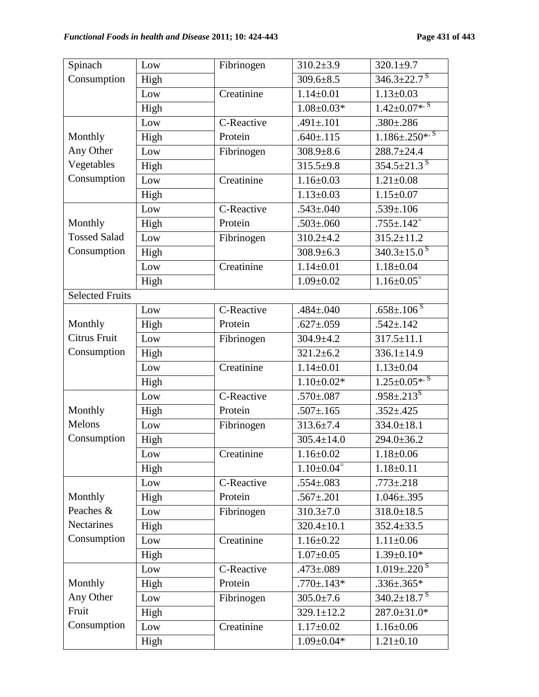| Spinach                | Low             | Fibrinogen | $310.2 \pm 3.9$            | $320.1 \pm 9.7$               |
|------------------------|-----------------|------------|----------------------------|-------------------------------|
| Consumption            | High            |            | $309.6 \pm 8.5$            | $346.3 \pm 22.7$ <sup>S</sup> |
|                        | Low             | Creatinine | $1.14 \pm 0.01$            | $1.13 \pm 0.03$               |
|                        | High            |            | $1.08 \pm 0.03*$           | $1.42 \pm 0.07$ *, S          |
|                        | Low             | C-Reactive | $.491 \pm .101$            | $.380 \pm .286$               |
| Monthly                | High            | Protein    | $.640{\pm}.115$            | $1.186 \pm .250$ *, S         |
| Any Other              | Low             | Fibrinogen | $308.9 \pm 8.6$            | $288.7 \pm 24.4$              |
| Vegetables             | High            |            | $315.5 + 9.8$              | $354.5 \pm 21.3$ <sup>S</sup> |
| Consumption            | Low             | Creatinine | $1.16 \pm 0.03$            | $1.21 \pm 0.08$               |
|                        | High            |            | $1.13 \pm 0.03$            | $1.15 \pm 0.07$               |
|                        | Low             | C-Reactive | $.543 \pm 0.040$           | $.539 \pm .106$               |
| Monthly                | High            | Protein    | $.503 \pm .060$            | $.755 \pm .142$ <sup>=</sup>  |
| <b>Tossed Salad</b>    | Low             | Fibrinogen | $310.2 + 4.2$              | $315.2 \pm 11.2$              |
| Consumption            | High            |            | $308.9 \pm 6.3$            | $340.3 \pm 15.0$ <sup>S</sup> |
|                        | Low             | Creatinine | $1.14 \pm 0.01$            | $1.18 \pm 0.04$               |
|                        | High            |            | $1.09 \pm 0.02$            | $1.16 \pm 0.05$ <sup>=</sup>  |
| <b>Selected Fruits</b> |                 |            |                            |                               |
|                        | Low             | C-Reactive | $.484 \pm 0.040$           | $.658 \pm .106$ <sup>S</sup>  |
| Monthly                | High            | Protein    | $.627 \pm .059$            | $.542 \pm .142$               |
| <b>Citrus Fruit</b>    | Low             | Fibrinogen | $304.9 \pm 4.2$            | $317.5 \pm 11.1$              |
| Consumption            | High            |            | $321.2 \pm 6.2$            | $336.1 \pm 14.9$              |
|                        | Low             | Creatinine | $1.14 \pm 0.01$            | $1.13 \pm 0.04$               |
|                        | High            |            | $1.10 \pm 0.02*$           | $1.25 \pm 0.05$ *, S          |
|                        | Low             | C-Reactive | $.570{\pm}.087$            | $.958 \pm .213$ <sup>S</sup>  |
| Monthly                | High            | Protein    | $.507 \pm .165$            | $.352 \pm .425$               |
| Melons                 | Low             | Fibrinogen | $313.6 \pm 7.4$            | $334.0 \pm 18.1$              |
| Consumption            | High            |            | $305.4 \pm 14.0$           | 294.0±36.2                    |
|                        | $_{\text{Low}}$ | Creatinine | $1.16 \pm 0.02$            | $1.18 + 0.06$                 |
|                        | High            |            | $1.10\pm0.04$ <sup>=</sup> | $1.18 \pm 0.11$               |
|                        | Low             | C-Reactive | $.554 \pm .083$            | $.773 \pm .218$               |
| Monthly                | High            | Protein    | $.567 \pm .201$            | $1.046 \pm .395$              |
| Peaches &              | Low             | Fibrinogen | $310.3 \pm 7.0$            | $318.0 \pm 18.5$              |
| Nectarines             | High            |            | $320.4 \pm 10.1$           | $352.4 \pm 33.5$              |
| Consumption            | Low             | Creatinine | $1.16 \pm 0.22$            | $1.11 \pm 0.06$               |
|                        | High            |            | $1.07 \pm 0.05$            | $1.39 \pm 0.10*$              |
|                        | Low             | C-Reactive | $.473 \pm .089$            | $1.019 \pm .220$ <sup>S</sup> |
| Monthly                | High            | Protein    | $.770 \pm .143*$           | $.336\pm.365*$                |
| Any Other              | Low             | Fibrinogen | $305.0 \pm 7.6$            | $340.2 \pm 18.7$ <sup>S</sup> |
| Fruit                  | High            |            | $329.1 \pm 12.2$           | $287.0 \pm 31.0*$             |
| Consumption            | Low             | Creatinine | $1.17 \pm 0.02$            | $1.16 \pm 0.06$               |
|                        | High            |            | $1.09 \pm 0.04*$           | $1.21 \pm 0.10$               |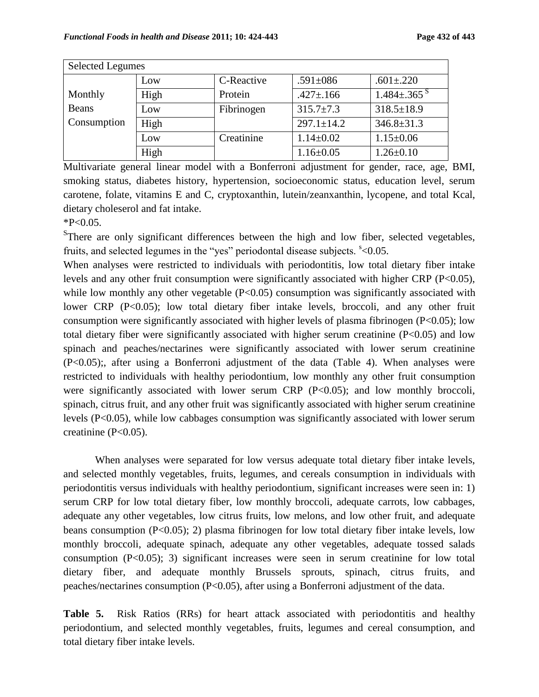| <b>Selected Legumes</b> |      |            |                  |                               |
|-------------------------|------|------------|------------------|-------------------------------|
|                         | Low  | C-Reactive | $.591 \pm 086$   | $.601 \pm .220$               |
| Monthly                 | High | Protein    | $.427 \pm .166$  | $1.484 \pm .365$ <sup>S</sup> |
| Beans                   | Low  | Fibrinogen | $315.7 \pm 7.3$  | $318.5 \pm 18.9$              |
| Consumption             | High |            | $297.1 \pm 14.2$ | $346.8 \pm 31.3$              |
|                         | Low  | Creatinine | $1.14 \pm 0.02$  | $1.15 \pm 0.06$               |
|                         | High |            | $1.16 \pm 0.05$  | $1.26 \pm 0.10$               |

Multivariate general linear model with a Bonferroni adjustment for gender, race, age, BMI, smoking status, diabetes history, hypertension, socioeconomic status, education level, serum carotene, folate, vitamins E and C, cryptoxanthin, lutein/zeanxanthin, lycopene, and total Kcal, dietary choleserol and fat intake.

#### $*P<0.05$ .

<sup>S</sup>There are only significant differences between the high and low fiber, selected vegetables, fruits, and selected legumes in the "yes" periodontal disease subjects.  $\degree$ <0.05.

When analyses were restricted to individuals with periodontitis, low total dietary fiber intake levels and any other fruit consumption were significantly associated with higher CRP (P<0.05), while low monthly any other vegetable  $(P<0.05)$  consumption was significantly associated with lower CRP (P<0.05); low total dietary fiber intake levels, broccoli, and any other fruit consumption were significantly associated with higher levels of plasma fibrinogen ( $P<0.05$ ); low total dietary fiber were significantly associated with higher serum creatinine (P<0.05) and low spinach and peaches/nectarines were significantly associated with lower serum creatinine (P<0.05);, after using a Bonferroni adjustment of the data (Table 4). When analyses were restricted to individuals with healthy periodontium, low monthly any other fruit consumption were significantly associated with lower serum CRP  $(P<0.05)$ ; and low monthly broccoli, spinach, citrus fruit, and any other fruit was significantly associated with higher serum creatinine levels (P<0.05), while low cabbages consumption was significantly associated with lower serum creatinine (P<0.05).

When analyses were separated for low versus adequate total dietary fiber intake levels, and selected monthly vegetables, fruits, legumes, and cereals consumption in individuals with periodontitis versus individuals with healthy periodontium, significant increases were seen in: 1) serum CRP for low total dietary fiber, low monthly broccoli, adequate carrots, low cabbages, adequate any other vegetables, low citrus fruits, low melons, and low other fruit, and adequate beans consumption (P<0.05); 2) plasma fibrinogen for low total dietary fiber intake levels, low monthly broccoli, adequate spinach, adequate any other vegetables, adequate tossed salads consumption (P<0.05); 3) significant increases were seen in serum creatinine for low total dietary fiber, and adequate monthly Brussels sprouts, spinach, citrus fruits, and peaches/nectarines consumption (P<0.05), after using a Bonferroni adjustment of the data.

**Table 5.** Risk Ratios (RRs) for heart attack associated with periodontitis and healthy periodontium, and selected monthly vegetables, fruits, legumes and cereal consumption, and total dietary fiber intake levels.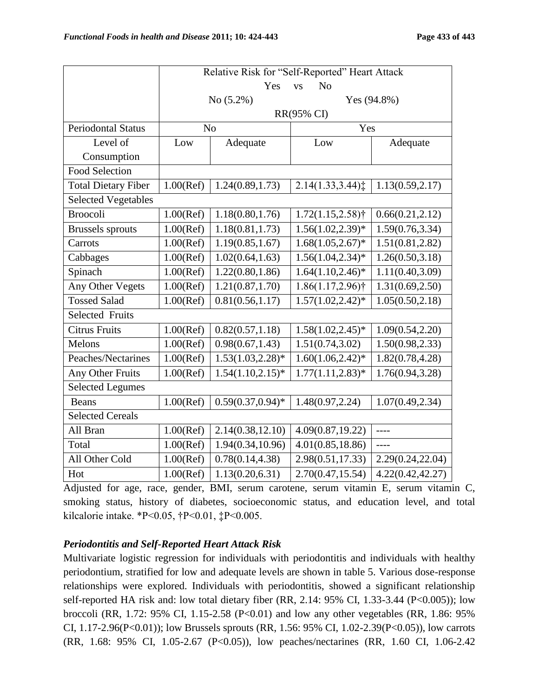|                            | Relative Risk for "Self-Reported" Heart Attack |                      |                                 |                              |  |
|----------------------------|------------------------------------------------|----------------------|---------------------------------|------------------------------|--|
|                            |                                                | Yes                  | N <sub>o</sub><br><b>VS</b>     |                              |  |
|                            |                                                | No $(5.2\%)$         |                                 | Yes $(94.8\%)$               |  |
|                            |                                                |                      | RR(95% CI)                      |                              |  |
| <b>Periodontal Status</b>  | $\rm No$                                       |                      | Yes                             |                              |  |
| Level of                   | Low                                            | Adequate             | Low                             | Adequate                     |  |
| Consumption                |                                                |                      |                                 |                              |  |
| <b>Food Selection</b>      |                                                |                      |                                 |                              |  |
| <b>Total Dietary Fiber</b> | $1.00$ (Ref)                                   | 1.24(0.89, 1.73)     | 2.14(1.33,3.44)                 | 1.13(0.59, 2.17)             |  |
| <b>Selected Vegetables</b> |                                                |                      |                                 |                              |  |
| <b>Broocoli</b>            | $1.00$ (Ref)                                   | 1.18(0.80, 1.76)     | $1.72(1.15, 2.58)$ <sup>†</sup> | 0.66(0.21, 2.12)             |  |
| <b>Brussels</b> sprouts    | $1.00$ (Ref)                                   | 1.18(0.81, 1.73)     | $1.56(1.02, 2.39)*$             | $\overline{1.59(0.76,3.34)}$ |  |
| Carrots                    | $1.00$ (Ref)                                   | 1.19(0.85, 1.67)     | $1.68(1.05, 2.67)^*$            | 1.51(0.81, 2.82)             |  |
| Cabbages                   | $1.00$ (Ref)                                   | 1.02(0.64, 1.63)     | $1.56(1.04, 2.34)$ *            | 1.26(0.50, 3.18)             |  |
| Spinach                    | $1.00$ (Ref)                                   | 1.22(0.80, 1.86)     | $1.64(1.10, 2.46)^*$            | 1.11(0.40, 3.09)             |  |
| Any Other Vegets           | $1.00$ (Ref)                                   | 1.21(0.87, 1.70)     | $\overline{1.86}(1.17,2.96)$ †  | 1.31(0.69, 2.50)             |  |
| <b>Tossed Salad</b>        | $1.00$ (Ref)                                   | 0.81(0.56, 1.17)     | $1.57(1.02, 2.42)^*$            | 1.05(0.50, 2.18)             |  |
| <b>Selected Fruits</b>     |                                                |                      |                                 |                              |  |
| <b>Citrus Fruits</b>       | $1.00$ (Ref)                                   | 0.82(0.57, 1.18)     | $1.58(1.02, 2.45)^*$            | 1.09(0.54, 2.20)             |  |
| Melons                     | $1.00$ (Ref)                                   | 0.98(0.67, 1.43)     | 1.51(0.74, 3.02)                | 1.50(0.98, 2.33)             |  |
| Peaches/Nectarines         | $1.00$ (Ref)                                   | $1.53(1.03, 2.28)*$  | $1.60(1.06, 2.42)*$             | 1.82(0.78, 4.28)             |  |
| Any Other Fruits           | $1.00$ (Ref)                                   | $1.54(1.10, 2.15)^*$ | $1.77(1.11, 2.83)*$             | 1.76(0.94, 3.28)             |  |
| <b>Selected Legumes</b>    |                                                |                      |                                 |                              |  |
| Beans                      | $1.00$ (Ref)                                   | $0.59(0.37, 0.94)$ * | 1.48(0.97, 2.24)                | 1.07(0.49, 2.34)             |  |
| <b>Selected Cereals</b>    |                                                |                      |                                 |                              |  |
| All Bran                   | $1.00$ (Ref)                                   | 2.14(0.38, 12.10)    | 4.09(0.87, 19.22)               | $---$                        |  |
| Total                      | $1.00$ (Ref)                                   | 1.94(0.34,10.96)     | 4.01(0.85, 18.86)               | $---$                        |  |
| All Other Cold             | $1.00$ (Ref)                                   | 0.78(0.14, 4.38)     | 2.98(0.51,17.33)                | 2.29(0.24, 22.04)            |  |
| Hot                        | $1.00$ (Ref)                                   | 1.13(0.20, 6.31)     | 2.70(0.47, 15.54)               | 4.22(0.42, 42.27)            |  |

Adjusted for age, race, gender, BMI, serum carotene, serum vitamin E, serum vitamin C, smoking status, history of diabetes, socioeconomic status, and education level, and total kilcalorie intake. \*P<0.05, †P<0.01, ‡P<0.005.

# *Periodontitis and Self-Reported Heart Attack Risk*

Multivariate logistic regression for individuals with periodontitis and individuals with healthy periodontium, stratified for low and adequate levels are shown in table 5. Various dose-response relationships were explored. Individuals with periodontitis, showed a significant relationship self-reported HA risk and: low total dietary fiber (RR, 2.14: 95% CI, 1.33-3.44 (P<0.005)); low broccoli (RR, 1.72: 95% CI, 1.15-2.58 (P<0.01) and low any other vegetables (RR, 1.86: 95% CI, 1.17-2.96(P<0.01)); low Brussels sprouts (RR, 1.56: 95% CI, 1.02-2.39(P<0.05)), low carrots (RR, 1.68: 95% CI, 1.05-2.67 (P<0.05)), low peaches/nectarines (RR, 1.60 CI, 1.06-2.42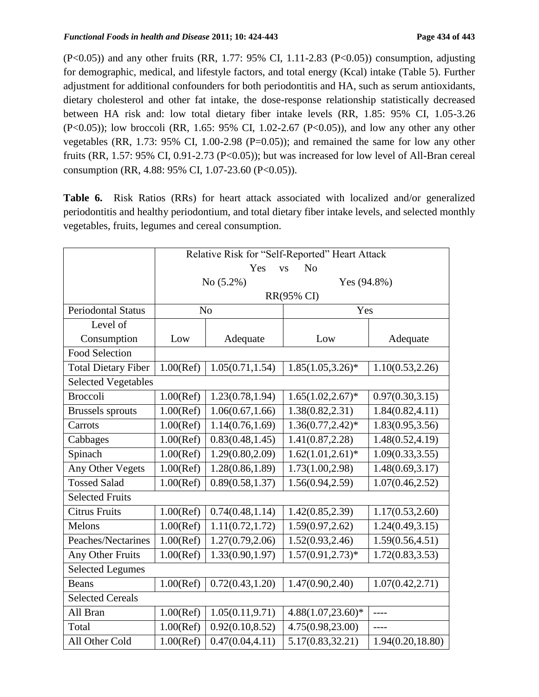(P<0.05)) and any other fruits (RR, 1.77: 95% CI, 1.11-2.83 (P<0.05)) consumption, adjusting for demographic, medical, and lifestyle factors, and total energy (Kcal) intake (Table 5). Further adjustment for additional confounders for both periodontitis and HA, such as serum antioxidants, dietary cholesterol and other fat intake, the dose-response relationship statistically decreased between HA risk and: low total dietary fiber intake levels (RR, 1.85: 95% CI, 1.05-3.26 (P<0.05)); low broccoli (RR, 1.65: 95% CI, 1.02-2.67 (P<0.05)), and low any other any other vegetables (RR, 1.73:  $95\%$  CI, 1.00-2.98 (P=0.05)); and remained the same for low any other fruits (RR, 1.57: 95% CI, 0.91-2.73 (P<0.05)); but was increased for low level of All-Bran cereal consumption (RR, 4.88: 95% CI, 1.07-23.60 (P<0.05)).

**Table 6.** Risk Ratios (RRs) for heart attack associated with localized and/or generalized periodontitis and healthy periodontium, and total dietary fiber intake levels, and selected monthly vegetables, fruits, legumes and cereal consumption.

| Relative Risk for "Self-Reported" Heart Attack |              |                  |                             |                              |  |  |
|------------------------------------------------|--------------|------------------|-----------------------------|------------------------------|--|--|
|                                                |              | Yes              | N <sub>o</sub><br><b>VS</b> |                              |  |  |
|                                                |              | No $(5.2\%)$     | Yes $(94.8\%)$              |                              |  |  |
|                                                |              | RR(95% CI)       |                             |                              |  |  |
| <b>Periodontal Status</b>                      |              | N <sub>o</sub>   | Yes                         |                              |  |  |
| Level of                                       |              |                  |                             |                              |  |  |
| Consumption                                    | Low          | Adequate         | Low                         | Adequate                     |  |  |
| <b>Food Selection</b>                          |              |                  |                             |                              |  |  |
| <b>Total Dietary Fiber</b>                     | $1.00$ (Ref) | 1.05(0.71, 1.54) | $1.85(1.05, 3.26)*$         | 1.10(0.53, 2.26)             |  |  |
| <b>Selected Vegetables</b>                     |              |                  |                             |                              |  |  |
| <b>Broccoli</b>                                | $1.00$ (Ref) | 1.23(0.78, 1.94) | $1.65(1.02, 2.67)^*$        | 0.97(0.30, 3.15)             |  |  |
| <b>Brussels</b> sprouts                        | $1.00$ (Ref) | 1.06(0.67, 1.66) | 1.38(0.82, 2.31)            | 1.84(0.82, 4.11)             |  |  |
| Carrots                                        | $1.00$ (Ref) | 1.14(0.76, 1.69) | $1.36(0.77, 2.42)^*$        | 1.83(0.95, 3.56)             |  |  |
| Cabbages                                       | $1.00$ (Ref) | 0.83(0.48, 1.45) | 1.41(0.87, 2.28)            | 1.48(0.52, 4.19)             |  |  |
| Spinach                                        | $1.00$ (Ref) | 1.29(0.80, 2.09) | $1.62(1.01, 2.61)^*$        | $\overline{1.09(0.33,3.55)}$ |  |  |
| Any Other Vegets                               | $1.00$ (Ref) | 1.28(0.86, 1.89) | 1.73(1.00, 2.98)            | 1.48(0.69, 3.17)             |  |  |
| <b>Tossed Salad</b>                            | $1.00$ (Ref) | 0.89(0.58, 1.37) | 1.56(0.94, 2.59)            | 1.07(0.46, 2.52)             |  |  |
| <b>Selected Fruits</b>                         |              |                  |                             |                              |  |  |
| <b>Citrus Fruits</b>                           | $1.00$ (Ref) | 0.74(0.48, 1.14) | 1.42(0.85, 2.39)            | 1.17(0.53, 2.60)             |  |  |
| Melons                                         | $1.00$ (Ref) | 1.11(0.72, 1.72) | 1.59(0.97, 2.62)            | 1.24(0.49, 3.15)             |  |  |
| Peaches/Nectarines                             | $1.00$ (Ref) | 1.27(0.79, 2.06) | 1.52(0.93, 2.46)            | 1.59(0.56, 4.51)             |  |  |
| Any Other Fruits                               | $1.00$ (Ref) | 1.33(0.90, 1.97) | $1.57(0.91, 2.73)*$         | 1.72(0.83, 3.53)             |  |  |
| <b>Selected Legumes</b>                        |              |                  |                             |                              |  |  |
| <b>Beans</b>                                   | $1.00$ (Ref) | 0.72(0.43, 1.20) | 1.47(0.90, 2.40)            | 1.07(0.42, 2.71)             |  |  |
| <b>Selected Cereals</b>                        |              |                  |                             |                              |  |  |
| All Bran                                       | $1.00$ (Ref) | 1.05(0.11, 9.71) | $4.88(1.07, 23.60)*$        | $---$                        |  |  |
| Total                                          | $1.00$ (Ref) | 0.92(0.10, 8.52) | 4.75(0.98,23.00)            | ----                         |  |  |
| All Other Cold                                 | $1.00$ (Ref) | 0.47(0.04, 4.11) | 5.17(0.83, 32.21)           | 1.94(0.20, 18.80)            |  |  |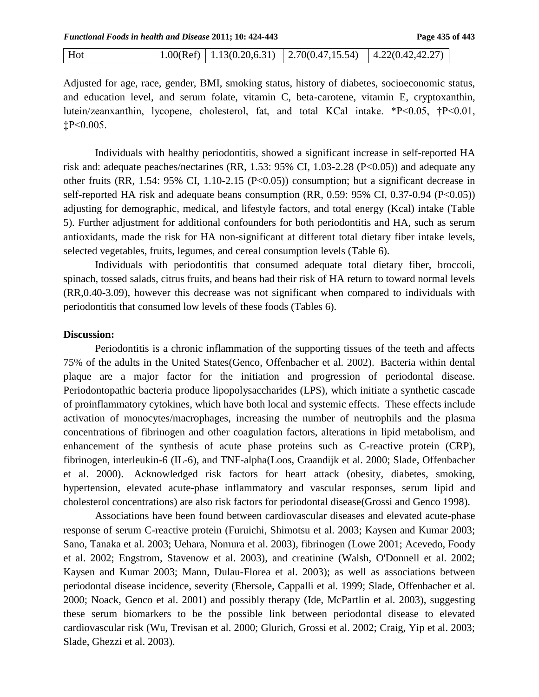| Hot |  |  | $\vert 1.00(Ref) \vert 1.13(0.20,6.31) \vert 2.70(0.47,15.54) \vert 4.22(0.42,42.27)$ |  |
|-----|--|--|---------------------------------------------------------------------------------------|--|
|-----|--|--|---------------------------------------------------------------------------------------|--|

Adjusted for age, race, gender, BMI, smoking status, history of diabetes, socioeconomic status, and education level, and serum folate, vitamin C, beta-carotene, vitamin E, cryptoxanthin, lutein/zeanxanthin, lycopene, cholesterol, fat, and total KCal intake. \*P<0.05, †P<0.01, ‡P<0.005.

Individuals with healthy periodontitis, showed a significant increase in self-reported HA risk and: adequate peaches/nectarines (RR, 1.53: 95% CI, 1.03-2.28 (P<0.05)) and adequate any other fruits (RR, 1.54: 95% CI, 1.10-2.15 (P<0.05)) consumption; but a significant decrease in self-reported HA risk and adequate beans consumption (RR, 0.59: 95% CI, 0.37-0.94 (P<0.05)) adjusting for demographic, medical, and lifestyle factors, and total energy (Kcal) intake (Table 5). Further adjustment for additional confounders for both periodontitis and HA, such as serum antioxidants, made the risk for HA non-significant at different total dietary fiber intake levels, selected vegetables, fruits, legumes, and cereal consumption levels (Table 6).

Individuals with periodontitis that consumed adequate total dietary fiber, broccoli, spinach, tossed salads, citrus fruits, and beans had their risk of HA return to toward normal levels (RR,0.40-3.09), however this decrease was not significant when compared to individuals with periodontitis that consumed low levels of these foods (Tables 6).

#### **Discussion:**

Periodontitis is a chronic inflammation of the supporting tissues of the teeth and affects 75% of the adults in the United States(Genco, Offenbacher et al. 2002). Bacteria within dental plaque are a major factor for the initiation and progression of periodontal disease. Periodontopathic bacteria produce lipopolysaccharides (LPS), which initiate a synthetic cascade of proinflammatory cytokines, which have both local and systemic effects. These effects include activation of monocytes/macrophages, increasing the number of neutrophils and the plasma concentrations of fibrinogen and other coagulation factors, alterations in lipid metabolism, and enhancement of the synthesis of acute phase proteins such as C-reactive protein (CRP), fibrinogen, interleukin-6 (IL-6), and TNF-alpha(Loos, Craandijk et al. 2000; Slade, Offenbacher et al. 2000). Acknowledged risk factors for heart attack (obesity, diabetes, smoking, hypertension, elevated acute-phase inflammatory and vascular responses, serum lipid and cholesterol concentrations) are also risk factors for periodontal disease(Grossi and Genco 1998).

Associations have been found between cardiovascular diseases and elevated acute-phase response of serum C-reactive protein (Furuichi, Shimotsu et al. 2003; Kaysen and Kumar 2003; Sano, Tanaka et al. 2003; Uehara, Nomura et al. 2003), fibrinogen (Lowe 2001; Acevedo, Foody et al. 2002; Engstrom, Stavenow et al. 2003), and creatinine (Walsh, O'Donnell et al. 2002; Kaysen and Kumar 2003; Mann, Dulau-Florea et al. 2003); as well as associations between periodontal disease incidence, severity (Ebersole, Cappalli et al. 1999; Slade, Offenbacher et al. 2000; Noack, Genco et al. 2001) and possibly therapy (Ide, McPartlin et al. 2003), suggesting these serum biomarkers to be the possible link between periodontal disease to elevated cardiovascular risk (Wu, Trevisan et al. 2000; Glurich, Grossi et al. 2002; Craig, Yip et al. 2003; Slade, Ghezzi et al. 2003).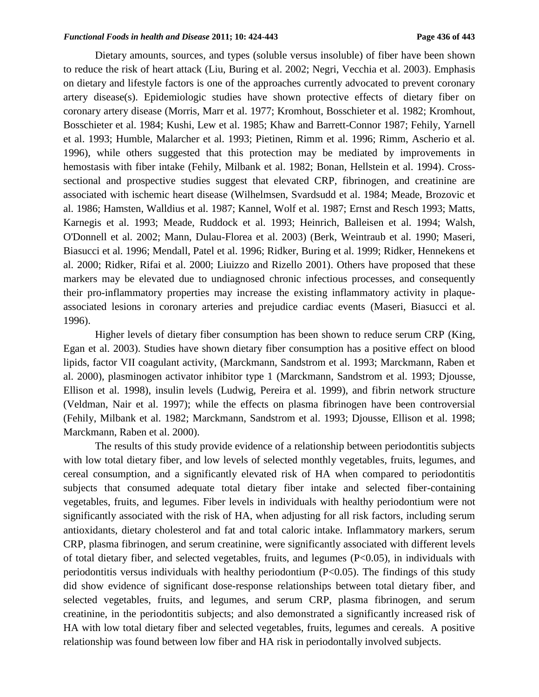Dietary amounts, sources, and types (soluble versus insoluble) of fiber have been shown to reduce the risk of heart attack (Liu, Buring et al. 2002; Negri, Vecchia et al. 2003). Emphasis on dietary and lifestyle factors is one of the approaches currently advocated to prevent coronary artery disease(s). Epidemiologic studies have shown protective effects of dietary fiber on coronary artery disease (Morris, Marr et al. 1977; Kromhout, Bosschieter et al. 1982; Kromhout, Bosschieter et al. 1984; Kushi, Lew et al. 1985; Khaw and Barrett-Connor 1987; Fehily, Yarnell et al. 1993; Humble, Malarcher et al. 1993; Pietinen, Rimm et al. 1996; Rimm, Ascherio et al. 1996), while others suggested that this protection may be mediated by improvements in hemostasis with fiber intake (Fehily, Milbank et al. 1982; Bonan, Hellstein et al. 1994). Crosssectional and prospective studies suggest that elevated CRP, fibrinogen, and creatinine are associated with ischemic heart disease (Wilhelmsen, Svardsudd et al. 1984; Meade, Brozovic et al. 1986; Hamsten, Walldius et al. 1987; Kannel, Wolf et al. 1987; Ernst and Resch 1993; Matts, Karnegis et al. 1993; Meade, Ruddock et al. 1993; Heinrich, Balleisen et al. 1994; Walsh, O'Donnell et al. 2002; Mann, Dulau-Florea et al. 2003) (Berk, Weintraub et al. 1990; Maseri, Biasucci et al. 1996; Mendall, Patel et al. 1996; Ridker, Buring et al. 1999; Ridker, Hennekens et al. 2000; Ridker, Rifai et al. 2000; Liuizzo and Rizello 2001). Others have proposed that these markers may be elevated due to undiagnosed chronic infectious processes, and consequently their pro-inflammatory properties may increase the existing inflammatory activity in plaqueassociated lesions in coronary arteries and prejudice cardiac events (Maseri, Biasucci et al. 1996).

Higher levels of dietary fiber consumption has been shown to reduce serum CRP (King, Egan et al. 2003). Studies have shown dietary fiber consumption has a positive effect on blood lipids, factor VII coagulant activity, (Marckmann, Sandstrom et al. 1993; Marckmann, Raben et al. 2000), plasminogen activator inhibitor type 1 (Marckmann, Sandstrom et al. 1993; Djousse, Ellison et al. 1998), insulin levels (Ludwig, Pereira et al. 1999), and fibrin network structure (Veldman, Nair et al. 1997); while the effects on plasma fibrinogen have been controversial (Fehily, Milbank et al. 1982; Marckmann, Sandstrom et al. 1993; Djousse, Ellison et al. 1998; Marckmann, Raben et al. 2000).

The results of this study provide evidence of a relationship between periodontitis subjects with low total dietary fiber, and low levels of selected monthly vegetables, fruits, legumes, and cereal consumption, and a significantly elevated risk of HA when compared to periodontitis subjects that consumed adequate total dietary fiber intake and selected fiber-containing vegetables, fruits, and legumes. Fiber levels in individuals with healthy periodontium were not significantly associated with the risk of HA, when adjusting for all risk factors, including serum antioxidants, dietary cholesterol and fat and total caloric intake. Inflammatory markers, serum CRP, plasma fibrinogen, and serum creatinine, were significantly associated with different levels of total dietary fiber, and selected vegetables, fruits, and legumes (P<0.05), in individuals with periodontitis versus individuals with healthy periodontium  $(P<0.05)$ . The findings of this study did show evidence of significant dose-response relationships between total dietary fiber, and selected vegetables, fruits, and legumes, and serum CRP, plasma fibrinogen, and serum creatinine, in the periodontitis subjects; and also demonstrated a significantly increased risk of HA with low total dietary fiber and selected vegetables, fruits, legumes and cereals. A positive relationship was found between low fiber and HA risk in periodontally involved subjects.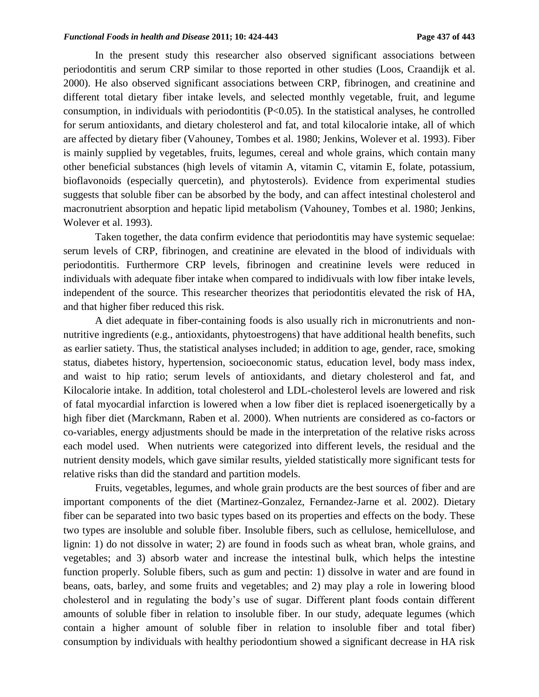In the present study this researcher also observed significant associations between periodontitis and serum CRP similar to those reported in other studies (Loos, Craandijk et al. 2000). He also observed significant associations between CRP, fibrinogen, and creatinine and different total dietary fiber intake levels, and selected monthly vegetable, fruit, and legume consumption, in individuals with periodontitis  $(P<0.05)$ . In the statistical analyses, he controlled for serum antioxidants, and dietary cholesterol and fat, and total kilocalorie intake, all of which are affected by dietary fiber (Vahouney, Tombes et al. 1980; Jenkins, Wolever et al. 1993). Fiber is mainly supplied by vegetables, fruits, legumes, cereal and whole grains, which contain many other beneficial substances (high levels of vitamin A, vitamin C, vitamin E, folate, potassium, bioflavonoids (especially quercetin), and phytosterols). Evidence from experimental studies suggests that soluble fiber can be absorbed by the body, and can affect intestinal cholesterol and macronutrient absorption and hepatic lipid metabolism (Vahouney, Tombes et al. 1980; Jenkins, Wolever et al. 1993).

Taken together, the data confirm evidence that periodontitis may have systemic sequelae: serum levels of CRP, fibrinogen, and creatinine are elevated in the blood of individuals with periodontitis. Furthermore CRP levels, fibrinogen and creatinine levels were reduced in individuals with adequate fiber intake when compared to indidivuals with low fiber intake levels, independent of the source. This researcher theorizes that periodontitis elevated the risk of HA, and that higher fiber reduced this risk.

A diet adequate in fiber-containing foods is also usually rich in micronutrients and nonnutritive ingredients (e.g., antioxidants, phytoestrogens) that have additional health benefits, such as earlier satiety. Thus, the statistical analyses included; in addition to age, gender, race, smoking status, diabetes history, hypertension, socioeconomic status, education level, body mass index, and waist to hip ratio; serum levels of antioxidants, and dietary cholesterol and fat, and Kilocalorie intake. In addition, total cholesterol and LDL-cholesterol levels are lowered and risk of fatal myocardial infarction is lowered when a low fiber diet is replaced isoenergetically by a high fiber diet (Marckmann, Raben et al. 2000). When nutrients are considered as co-factors or co-variables, energy adjustments should be made in the interpretation of the relative risks across each model used. When nutrients were categorized into different levels, the residual and the nutrient density models, which gave similar results, yielded statistically more significant tests for relative risks than did the standard and partition models.

Fruits, vegetables, legumes, and whole grain products are the best sources of fiber and are important components of the diet (Martinez-Gonzalez, Fernandez-Jarne et al. 2002). Dietary fiber can be separated into two basic types based on its properties and effects on the body. These two types are insoluble and soluble fiber. Insoluble fibers, such as cellulose, hemicellulose, and lignin: 1) do not dissolve in water; 2) are found in foods such as wheat bran, whole grains, and vegetables; and 3) absorb water and increase the intestinal bulk, which helps the intestine function properly. Soluble fibers, such as gum and pectin: 1) dissolve in water and are found in beans, oats, barley, and some fruits and vegetables; and 2) may play a role in lowering blood cholesterol and in regulating the body's use of sugar. Different plant foods contain different amounts of soluble fiber in relation to insoluble fiber. In our study, adequate legumes (which contain a higher amount of soluble fiber in relation to insoluble fiber and total fiber) consumption by individuals with healthy periodontium showed a significant decrease in HA risk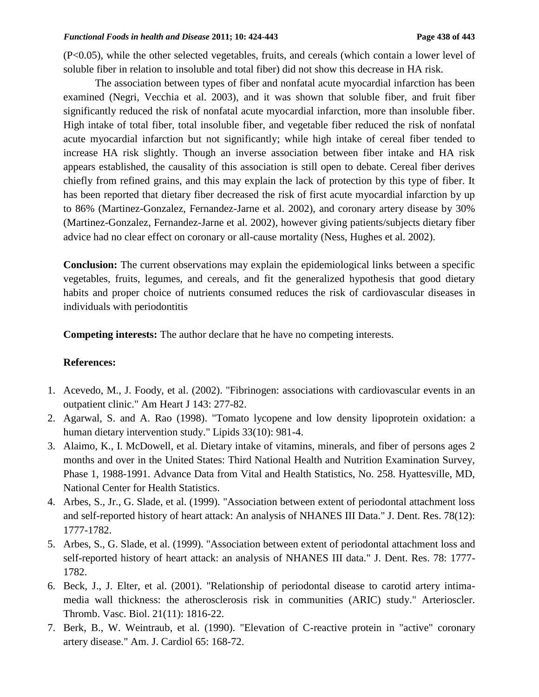(P<0.05), while the other selected vegetables, fruits, and cereals (which contain a lower level of soluble fiber in relation to insoluble and total fiber) did not show this decrease in HA risk.

The association between types of fiber and nonfatal acute myocardial infarction has been examined (Negri, Vecchia et al. 2003), and it was shown that soluble fiber, and fruit fiber significantly reduced the risk of nonfatal acute myocardial infarction, more than insoluble fiber. High intake of total fiber, total insoluble fiber, and vegetable fiber reduced the risk of nonfatal acute myocardial infarction but not significantly; while high intake of cereal fiber tended to increase HA risk slightly. Though an inverse association between fiber intake and HA risk appears established, the causality of this association is still open to debate. Cereal fiber derives chiefly from refined grains, and this may explain the lack of protection by this type of fiber. It has been reported that dietary fiber decreased the risk of first acute myocardial infarction by up to 86% (Martinez-Gonzalez, Fernandez-Jarne et al. 2002), and coronary artery disease by 30% (Martinez-Gonzalez, Fernandez-Jarne et al. 2002), however giving patients/subjects dietary fiber advice had no clear effect on coronary or all-cause mortality (Ness, Hughes et al. 2002).

**Conclusion:** The current observations may explain the epidemiological links between a specific vegetables, fruits, legumes, and cereals, and fit the generalized hypothesis that good dietary habits and proper choice of nutrients consumed reduces the risk of cardiovascular diseases in individuals with periodontitis

**Competing interests:** The author declare that he have no competing interests.

#### **References:**

- 1. Acevedo, M., J. Foody, et al. (2002). "Fibrinogen: associations with cardiovascular events in an outpatient clinic." Am Heart J 143: 277-82.
- 2. Agarwal, S. and A. Rao (1998). "Tomato lycopene and low density lipoprotein oxidation: a human dietary intervention study." Lipids 33(10): 981-4.
- 3. Alaimo, K., I. McDowell, et al. Dietary intake of vitamins, minerals, and fiber of persons ages 2 months and over in the United States: Third National Health and Nutrition Examination Survey, Phase 1, 1988-1991. Advance Data from Vital and Health Statistics, No. 258. Hyattesville, MD, National Center for Health Statistics.
- 4. Arbes, S., Jr., G. Slade, et al. (1999). "Association between extent of periodontal attachment loss and self-reported history of heart attack: An analysis of NHANES III Data." J. Dent. Res. 78(12): 1777-1782.
- 5. Arbes, S., G. Slade, et al. (1999). "Association between extent of periodontal attachment loss and self-reported history of heart attack: an analysis of NHANES III data." J. Dent. Res. 78: 1777- 1782.
- 6. Beck, J., J. Elter, et al. (2001). "Relationship of periodontal disease to carotid artery intimamedia wall thickness: the atherosclerosis risk in communities (ARIC) study." Arterioscler. Thromb. Vasc. Biol. 21(11): 1816-22.
- 7. Berk, B., W. Weintraub, et al. (1990). "Elevation of C-reactive protein in "active" coronary artery disease." Am. J. Cardiol 65: 168-72.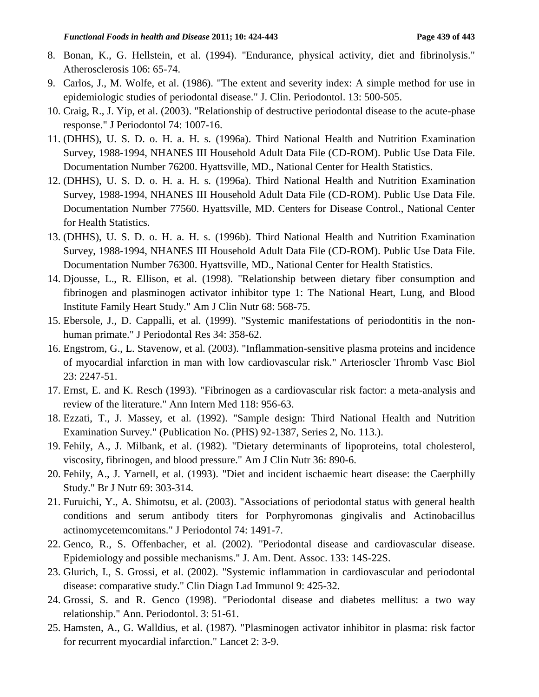- 8. Bonan, K., G. Hellstein, et al. (1994). "Endurance, physical activity, diet and fibrinolysis." Atherosclerosis 106: 65-74.
- 9. Carlos, J., M. Wolfe, et al. (1986). "The extent and severity index: A simple method for use in epidemiologic studies of periodontal disease." J. Clin. Periodontol. 13: 500-505.
- 10. Craig, R., J. Yip, et al. (2003). "Relationship of destructive periodontal disease to the acute-phase response." J Periodontol 74: 1007-16.
- 11. (DHHS), U. S. D. o. H. a. H. s. (1996a). Third National Health and Nutrition Examination Survey, 1988-1994, NHANES III Household Adult Data File (CD-ROM). Public Use Data File. Documentation Number 76200. Hyattsville, MD., National Center for Health Statistics.
- 12. (DHHS), U. S. D. o. H. a. H. s. (1996a). Third National Health and Nutrition Examination Survey, 1988-1994, NHANES III Household Adult Data File (CD-ROM). Public Use Data File. Documentation Number 77560. Hyattsville, MD. Centers for Disease Control., National Center for Health Statistics.
- 13. (DHHS), U. S. D. o. H. a. H. s. (1996b). Third National Health and Nutrition Examination Survey, 1988-1994, NHANES III Household Adult Data File (CD-ROM). Public Use Data File. Documentation Number 76300. Hyattsville, MD., National Center for Health Statistics.
- 14. Djousse, L., R. Ellison, et al. (1998). "Relationship between dietary fiber consumption and fibrinogen and plasminogen activator inhibitor type 1: The National Heart, Lung, and Blood Institute Family Heart Study." Am J Clin Nutr 68: 568-75.
- 15. Ebersole, J., D. Cappalli, et al. (1999). "Systemic manifestations of periodontitis in the nonhuman primate." J Periodontal Res 34: 358-62.
- 16. Engstrom, G., L. Stavenow, et al. (2003). "Inflammation-sensitive plasma proteins and incidence of myocardial infarction in man with low cardiovascular risk." Arterioscler Thromb Vasc Biol 23: 2247-51.
- 17. Ernst, E. and K. Resch (1993). "Fibrinogen as a cardiovascular risk factor: a meta-analysis and review of the literature." Ann Intern Med 118: 956-63.
- 18. Ezzati, T., J. Massey, et al. (1992). "Sample design: Third National Health and Nutrition Examination Survey." (Publication No. (PHS) 92-1387, Series 2, No. 113.).
- 19. Fehily, A., J. Milbank, et al. (1982). "Dietary determinants of lipoproteins, total cholesterol, viscosity, fibrinogen, and blood pressure." Am J Clin Nutr 36: 890-6.
- 20. Fehily, A., J. Yarnell, et al. (1993). "Diet and incident ischaemic heart disease: the Caerphilly Study." Br J Nutr 69: 303-314.
- 21. Furuichi, Y., A. Shimotsu, et al. (2003). "Associations of periodontal status with general health conditions and serum antibody titers for Porphyromonas gingivalis and Actinobacillus actinomycetemcomitans." J Periodontol 74: 1491-7.
- 22. Genco, R., S. Offenbacher, et al. (2002). "Periodontal disease and cardiovascular disease. Epidemiology and possible mechanisms." J. Am. Dent. Assoc. 133: 14S-22S.
- 23. Glurich, I., S. Grossi, et al. (2002). "Systemic inflammation in cardiovascular and periodontal disease: comparative study." Clin Diagn Lad Immunol 9: 425-32.
- 24. Grossi, S. and R. Genco (1998). "Periodontal disease and diabetes mellitus: a two way relationship." Ann. Periodontol. 3: 51-61.
- 25. Hamsten, A., G. Walldius, et al. (1987). "Plasminogen activator inhibitor in plasma: risk factor for recurrent myocardial infarction." Lancet 2: 3-9.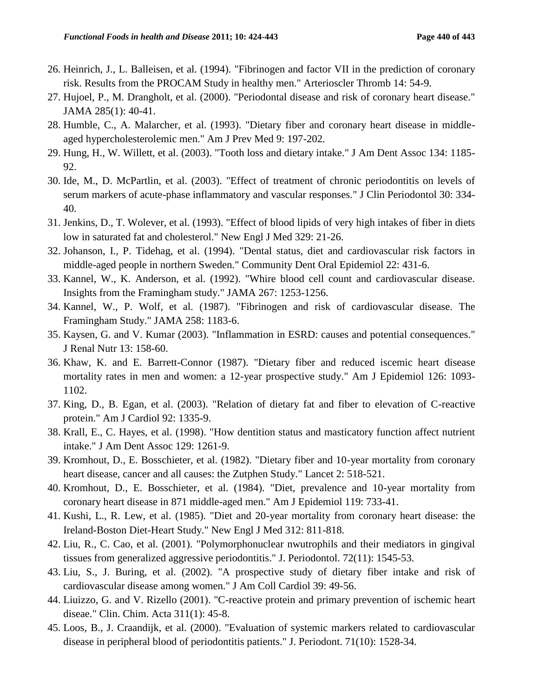- 26. Heinrich, J., L. Balleisen, et al. (1994). "Fibrinogen and factor VII in the prediction of coronary risk. Results from the PROCAM Study in healthy men." Arterioscler Thromb 14: 54-9.
- 27. Hujoel, P., M. Drangholt, et al. (2000). "Periodontal disease and risk of coronary heart disease." JAMA 285(1): 40-41.
- 28. Humble, C., A. Malarcher, et al. (1993). "Dietary fiber and coronary heart disease in middleaged hypercholesterolemic men." Am J Prev Med 9: 197-202.
- 29. Hung, H., W. Willett, et al. (2003). "Tooth loss and dietary intake." J Am Dent Assoc 134: 1185- 92.
- 30. Ide, M., D. McPartlin, et al. (2003). "Effect of treatment of chronic periodontitis on levels of serum markers of acute-phase inflammatory and vascular responses." J Clin Periodontol 30: 334- 40.
- 31. Jenkins, D., T. Wolever, et al. (1993). "Effect of blood lipids of very high intakes of fiber in diets low in saturated fat and cholesterol." New Engl J Med 329: 21-26.
- 32. Johanson, I., P. Tidehag, et al. (1994). "Dental status, diet and cardiovascular risk factors in middle-aged people in northern Sweden." Community Dent Oral Epidemiol 22: 431-6.
- 33. Kannel, W., K. Anderson, et al. (1992). "Whire blood cell count and cardiovascular disease. Insights from the Framingham study." JAMA 267: 1253-1256.
- 34. Kannel, W., P. Wolf, et al. (1987). "Fibrinogen and risk of cardiovascular disease. The Framingham Study." JAMA 258: 1183-6.
- 35. Kaysen, G. and V. Kumar (2003). "Inflammation in ESRD: causes and potential consequences." J Renal Nutr 13: 158-60.
- 36. Khaw, K. and E. Barrett-Connor (1987). "Dietary fiber and reduced iscemic heart disease mortality rates in men and women: a 12-year prospective study." Am J Epidemiol 126: 1093- 1102.
- 37. King, D., B. Egan, et al. (2003). "Relation of dietary fat and fiber to elevation of C-reactive protein." Am J Cardiol 92: 1335-9.
- 38. Krall, E., C. Hayes, et al. (1998). "How dentition status and masticatory function affect nutrient intake." J Am Dent Assoc 129: 1261-9.
- 39. Kromhout, D., E. Bosschieter, et al. (1982). "Dietary fiber and 10-year mortality from coronary heart disease, cancer and all causes: the Zutphen Study." Lancet 2: 518-521.
- 40. Kromhout, D., E. Bosschieter, et al. (1984). "Diet, prevalence and 10-year mortality from coronary heart disease in 871 middle-aged men." Am J Epidemiol 119: 733-41.
- 41. Kushi, L., R. Lew, et al. (1985). "Diet and 20-year mortality from coronary heart disease: the Ireland-Boston Diet-Heart Study." New Engl J Med 312: 811-818.
- 42. Liu, R., C. Cao, et al. (2001). "Polymorphonuclear nwutrophils and their mediators in gingival tissues from generalized aggressive periodontitis." J. Periodontol. 72(11): 1545-53.
- 43. Liu, S., J. Buring, et al. (2002). "A prospective study of dietary fiber intake and risk of cardiovascular disease among women." J Am Coll Cardiol 39: 49-56.
- 44. Liuizzo, G. and V. Rizello (2001). "C-reactive protein and primary prevention of ischemic heart diseae." Clin. Chim. Acta 311(1): 45-8.
- 45. Loos, B., J. Craandijk, et al. (2000). "Evaluation of systemic markers related to cardiovascular disease in peripheral blood of periodontitis patients." J. Periodont. 71(10): 1528-34.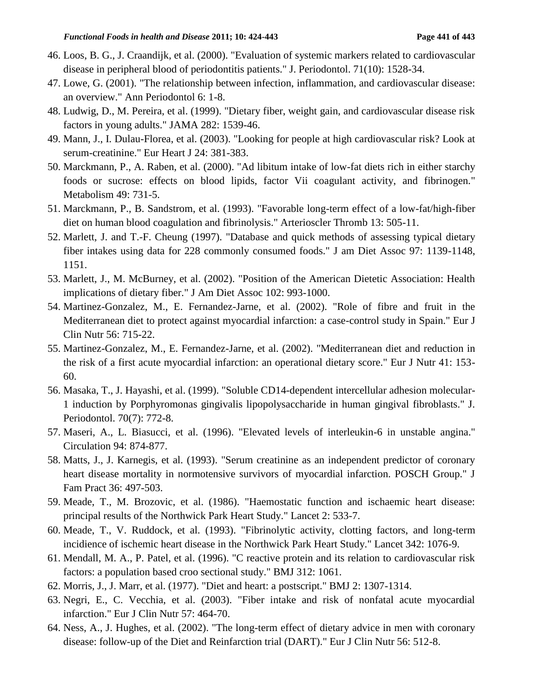- 46. Loos, B. G., J. Craandijk, et al. (2000). "Evaluation of systemic markers related to cardiovascular disease in peripheral blood of periodontitis patients." J. Periodontol. 71(10): 1528-34.
- 47. Lowe, G. (2001). "The relationship between infection, inflammation, and cardiovascular disease: an overview." Ann Periodontol 6: 1-8.
- 48. Ludwig, D., M. Pereira, et al. (1999). "Dietary fiber, weight gain, and cardiovascular disease risk factors in young adults." JAMA 282: 1539-46.
- 49. Mann, J., I. Dulau-Florea, et al. (2003). "Looking for people at high cardiovascular risk? Look at serum-creatinine." Eur Heart J 24: 381-383.
- 50. Marckmann, P., A. Raben, et al. (2000). "Ad libitum intake of low-fat diets rich in either starchy foods or sucrose: effects on blood lipids, factor Vii coagulant activity, and fibrinogen." Metabolism 49: 731-5.
- 51. Marckmann, P., B. Sandstrom, et al. (1993). "Favorable long-term effect of a low-fat/high-fiber diet on human blood coagulation and fibrinolysis." Arterioscler Thromb 13: 505-11.
- 52. Marlett, J. and T.-F. Cheung (1997). "Database and quick methods of assessing typical dietary fiber intakes using data for 228 commonly consumed foods." J am Diet Assoc 97: 1139-1148, 1151.
- 53. Marlett, J., M. McBurney, et al. (2002). "Position of the American Dietetic Association: Health implications of dietary fiber." J Am Diet Assoc 102: 993-1000.
- 54. Martinez-Gonzalez, M., E. Fernandez-Jarne, et al. (2002). "Role of fibre and fruit in the Mediterranean diet to protect against myocardial infarction: a case-control study in Spain." Eur J Clin Nutr 56: 715-22.
- 55. Martinez-Gonzalez, M., E. Fernandez-Jarne, et al. (2002). "Mediterranean diet and reduction in the risk of a first acute myocardial infarction: an operational dietary score." Eur J Nutr 41: 153- 60.
- 56. Masaka, T., J. Hayashi, et al. (1999). "Soluble CD14-dependent intercellular adhesion molecular-1 induction by Porphyromonas gingivalis lipopolysaccharide in human gingival fibroblasts." J. Periodontol. 70(7): 772-8.
- 57. Maseri, A., L. Biasucci, et al. (1996). "Elevated levels of interleukin-6 in unstable angina." Circulation 94: 874-877.
- 58. Matts, J., J. Karnegis, et al. (1993). "Serum creatinine as an independent predictor of coronary heart disease mortality in normotensive survivors of myocardial infarction. POSCH Group." J Fam Pract 36: 497-503.
- 59. Meade, T., M. Brozovic, et al. (1986). "Haemostatic function and ischaemic heart disease: principal results of the Northwick Park Heart Study." Lancet 2: 533-7.
- 60. Meade, T., V. Ruddock, et al. (1993). "Fibrinolytic activity, clotting factors, and long-term incidience of ischemic heart disease in the Northwick Park Heart Study." Lancet 342: 1076-9.
- 61. Mendall, M. A., P. Patel, et al. (1996). "C reactive protein and its relation to cardiovascular risk factors: a population based croo sectional study." BMJ 312: 1061.
- 62. Morris, J., J. Marr, et al. (1977). "Diet and heart: a postscript." BMJ 2: 1307-1314.
- 63. Negri, E., C. Vecchia, et al. (2003). "Fiber intake and risk of nonfatal acute myocardial infarction." Eur J Clin Nutr 57: 464-70.
- 64. Ness, A., J. Hughes, et al. (2002). "The long-term effect of dietary advice in men with coronary disease: follow-up of the Diet and Reinfarction trial (DART)." Eur J Clin Nutr 56: 512-8.